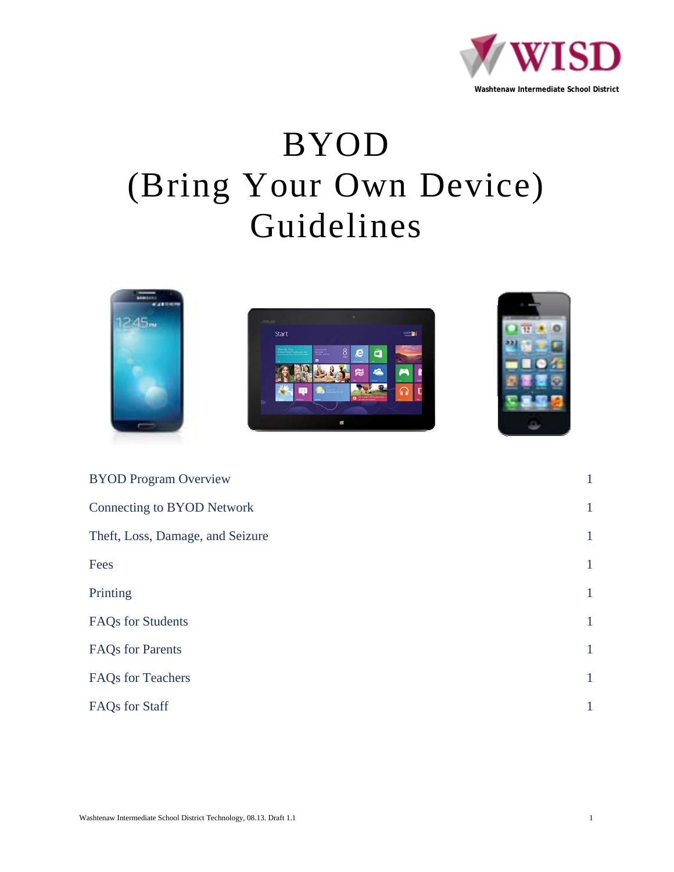

# BYOD (Bring Your Own Device) Guidelines



| <b>BYOD Program Overview</b>      | $\mathbf{1}$ |
|-----------------------------------|--------------|
| <b>Connecting to BYOD Network</b> | $\mathbf{1}$ |
| Theft, Loss, Damage, and Seizure  | $\mathbf{1}$ |
| Fees                              | $\mathbf{1}$ |
| Printing                          | $\mathbf{1}$ |
| FAQs for Students                 | $\mathbf{1}$ |
| <b>FAQs</b> for Parents           | $\mathbf{1}$ |
| FAQs for Teachers                 | $\mathbf{1}$ |
| FAQs for Staff                    | $\mathbf{1}$ |
|                                   |              |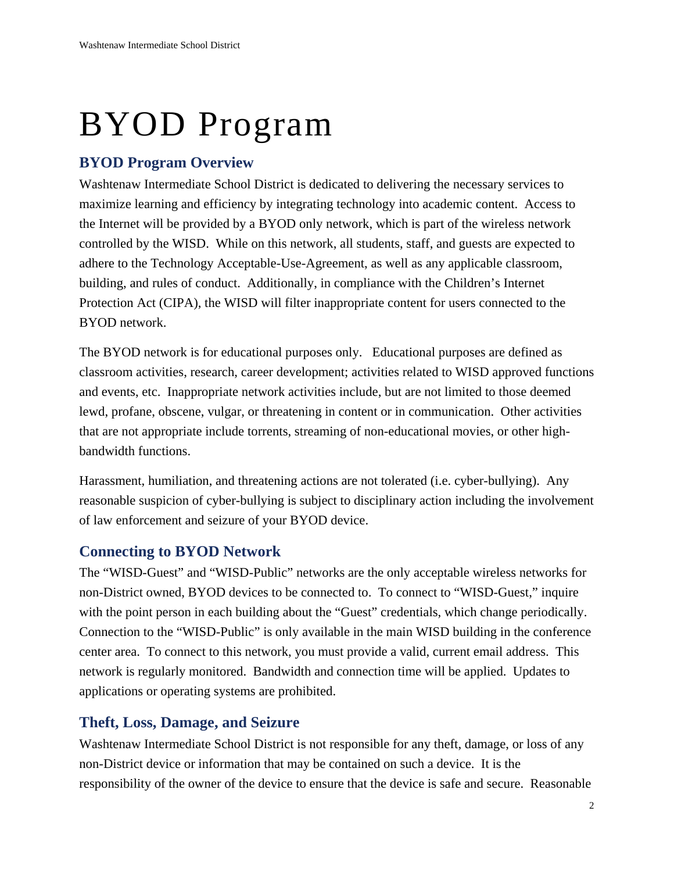# BYOD Program

# **BYOD Program Overview**

Washtenaw Intermediate School District is dedicated to delivering the necessary services to maximize learning and efficiency by integrating technology into academic content. Access to the Internet will be provided by a BYOD only network, which is part of the wireless network controlled by the WISD. While on this network, all students, staff, and guests are expected to adhere to the Technology Acceptable-Use-Agreement, as well as any applicable classroom, building, and rules of conduct. Additionally, in compliance with the Children's Internet Protection Act (CIPA), the WISD will filter inappropriate content for users connected to the BYOD network.

The BYOD network is for educational purposes only. Educational purposes are defined as classroom activities, research, career development; activities related to WISD approved functions and events, etc. Inappropriate network activities include, but are not limited to those deemed lewd, profane, obscene, vulgar, or threatening in content or in communication. Other activities that are not appropriate include torrents, streaming of non-educational movies, or other highbandwidth functions.

Harassment, humiliation, and threatening actions are not tolerated (i.e. cyber-bullying). Any reasonable suspicion of cyber-bullying is subject to disciplinary action including the involvement of law enforcement and seizure of your BYOD device.

## **Connecting to BYOD Network**

The "WISD-Guest" and "WISD-Public" networks are the only acceptable wireless networks for non-District owned, BYOD devices to be connected to. To connect to "WISD-Guest," inquire with the point person in each building about the "Guest" credentials, which change periodically. Connection to the "WISD-Public" is only available in the main WISD building in the conference center area. To connect to this network, you must provide a valid, current email address. This network is regularly monitored. Bandwidth and connection time will be applied. Updates to applications or operating systems are prohibited.

# **Theft, Loss, Damage, and Seizure**

Washtenaw Intermediate School District is not responsible for any theft, damage, or loss of any non-District device or information that may be contained on such a device. It is the responsibility of the owner of the device to ensure that the device is safe and secure. Reasonable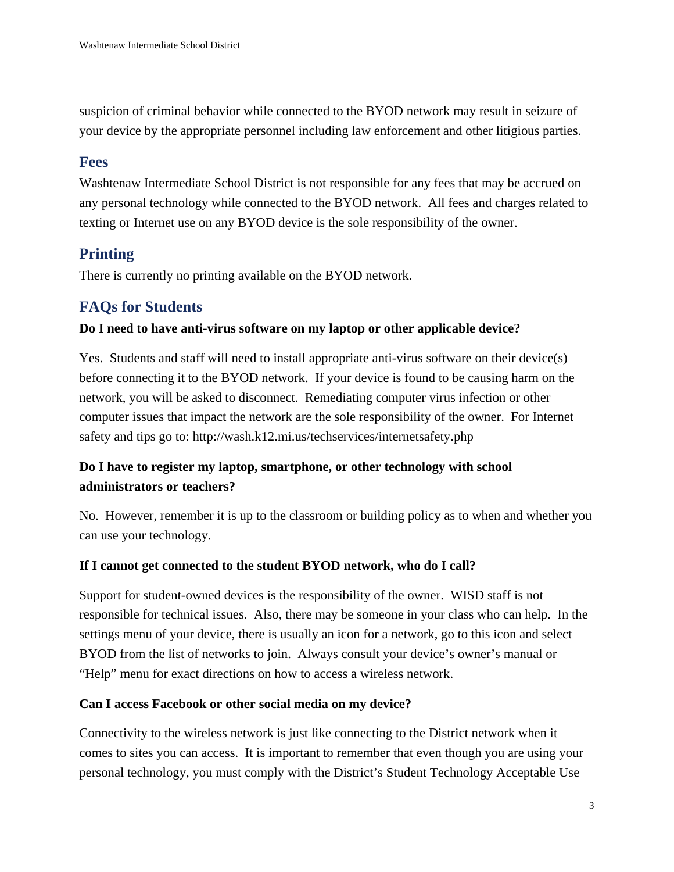suspicion of criminal behavior while connected to the BYOD network may result in seizure of your device by the appropriate personnel including law enforcement and other litigious parties.

## **Fees**

Washtenaw Intermediate School District is not responsible for any fees that may be accrued on any personal technology while connected to the BYOD network. All fees and charges related to texting or Internet use on any BYOD device is the sole responsibility of the owner.

# **Printing**

There is currently no printing available on the BYOD network.

## **FAQs for Students**

#### **Do I need to have anti-virus software on my laptop or other applicable device?**

Yes. Students and staff will need to install appropriate anti-virus software on their device(s) before connecting it to the BYOD network. If your device is found to be causing harm on the network, you will be asked to disconnect. Remediating computer virus infection or other computer issues that impact the network are the sole responsibility of the owner. For Internet safety and tips go to: http://wash.k12.mi.us/techservices/internetsafety.php

# **Do I have to register my laptop, smartphone, or other technology with school administrators or teachers?**

No. However, remember it is up to the classroom or building policy as to when and whether you can use your technology.

#### **If I cannot get connected to the student BYOD network, who do I call?**

Support for student-owned devices is the responsibility of the owner. WISD staff is not responsible for technical issues. Also, there may be someone in your class who can help. In the settings menu of your device, there is usually an icon for a network, go to this icon and select BYOD from the list of networks to join. Always consult your device's owner's manual or "Help" menu for exact directions on how to access a wireless network.

#### **Can I access Facebook or other social media on my device?**

Connectivity to the wireless network is just like connecting to the District network when it comes to sites you can access. It is important to remember that even though you are using your personal technology, you must comply with the District's Student Technology Acceptable Use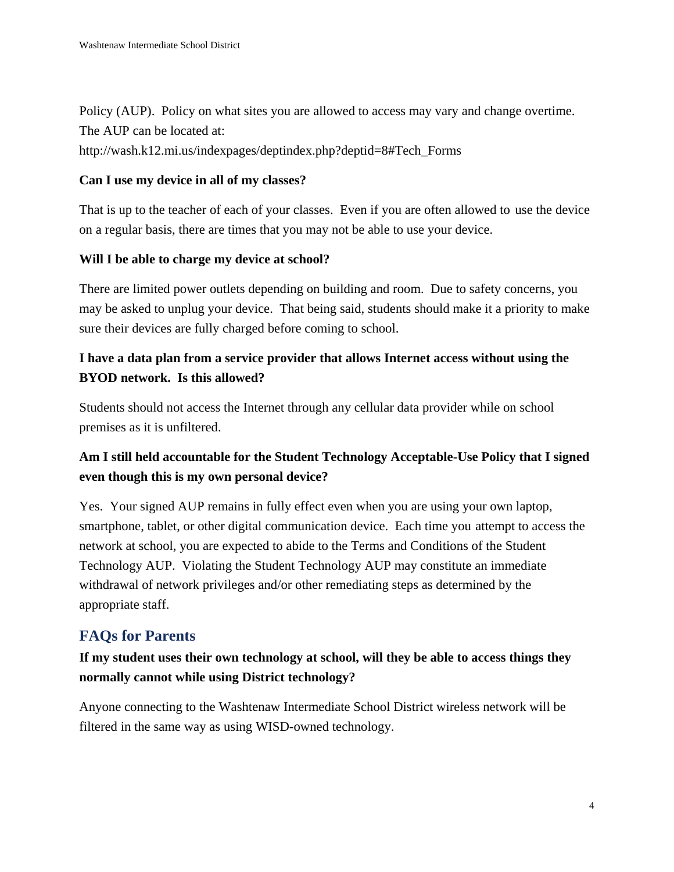Policy (AUP). Policy on what sites you are allowed to access may vary and change overtime. The AUP can be located at:

http://wash.k12.mi.us/indexpages/deptindex.php?deptid=8#Tech\_Forms

#### **Can I use my device in all of my classes?**

That is up to the teacher of each of your classes. Even if you are often allowed to use the device on a regular basis, there are times that you may not be able to use your device.

#### **Will I be able to charge my device at school?**

There are limited power outlets depending on building and room. Due to safety concerns, you may be asked to unplug your device. That being said, students should make it a priority to make sure their devices are fully charged before coming to school.

## **I have a data plan from a service provider that allows Internet access without using the BYOD network. Is this allowed?**

Students should not access the Internet through any cellular data provider while on school premises as it is unfiltered.

## **Am I still held accountable for the Student Technology Acceptable-Use Policy that I signed even though this is my own personal device?**

Yes. Your signed AUP remains in fully effect even when you are using your own laptop, smartphone, tablet, or other digital communication device. Each time you attempt to access the network at school, you are expected to abide to the Terms and Conditions of the Student Technology AUP. Violating the Student Technology AUP may constitute an immediate withdrawal of network privileges and/or other remediating steps as determined by the appropriate staff.

## **FAQs for Parents**

# **If my student uses their own technology at school, will they be able to access things they normally cannot while using District technology?**

Anyone connecting to the Washtenaw Intermediate School District wireless network will be filtered in the same way as using WISD-owned technology.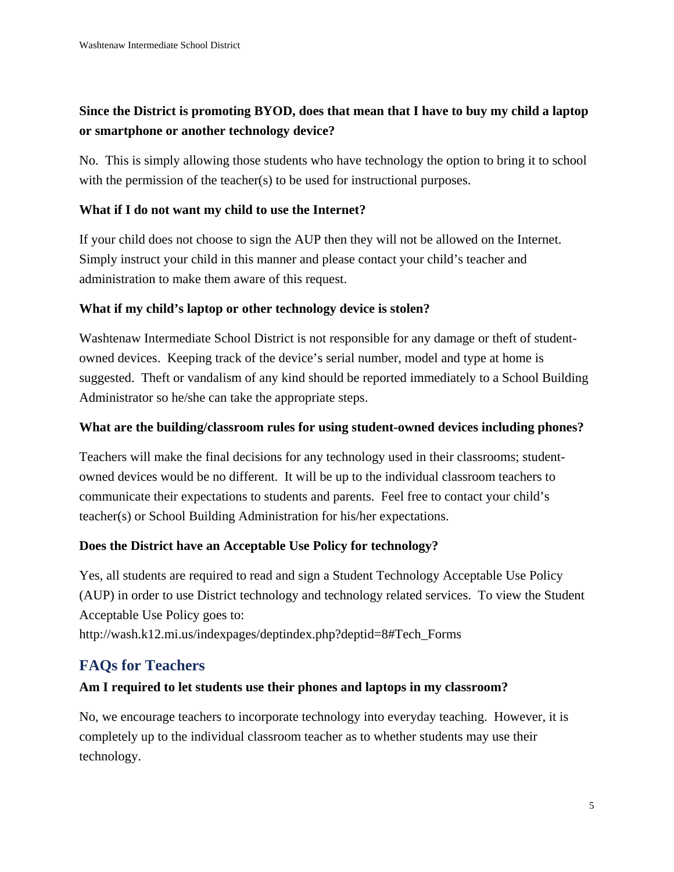# **Since the District is promoting BYOD, does that mean that I have to buy my child a laptop or smartphone or another technology device?**

No. This is simply allowing those students who have technology the option to bring it to school with the permission of the teacher(s) to be used for instructional purposes.

### **What if I do not want my child to use the Internet?**

If your child does not choose to sign the AUP then they will not be allowed on the Internet. Simply instruct your child in this manner and please contact your child's teacher and administration to make them aware of this request.

### **What if my child's laptop or other technology device is stolen?**

Washtenaw Intermediate School District is not responsible for any damage or theft of studentowned devices. Keeping track of the device's serial number, model and type at home is suggested. Theft or vandalism of any kind should be reported immediately to a School Building Administrator so he/she can take the appropriate steps.

#### **What are the building/classroom rules for using student-owned devices including phones?**

Teachers will make the final decisions for any technology used in their classrooms; studentowned devices would be no different. It will be up to the individual classroom teachers to communicate their expectations to students and parents. Feel free to contact your child's teacher(s) or School Building Administration for his/her expectations.

#### **Does the District have an Acceptable Use Policy for technology?**

Yes, all students are required to read and sign a Student Technology Acceptable Use Policy (AUP) in order to use District technology and technology related services. To view the Student Acceptable Use Policy goes to:

http://wash.k12.mi.us/indexpages/deptindex.php?deptid=8#Tech\_Forms

# **FAQs for Teachers**

## **Am I required to let students use their phones and laptops in my classroom?**

No, we encourage teachers to incorporate technology into everyday teaching. However, it is completely up to the individual classroom teacher as to whether students may use their technology.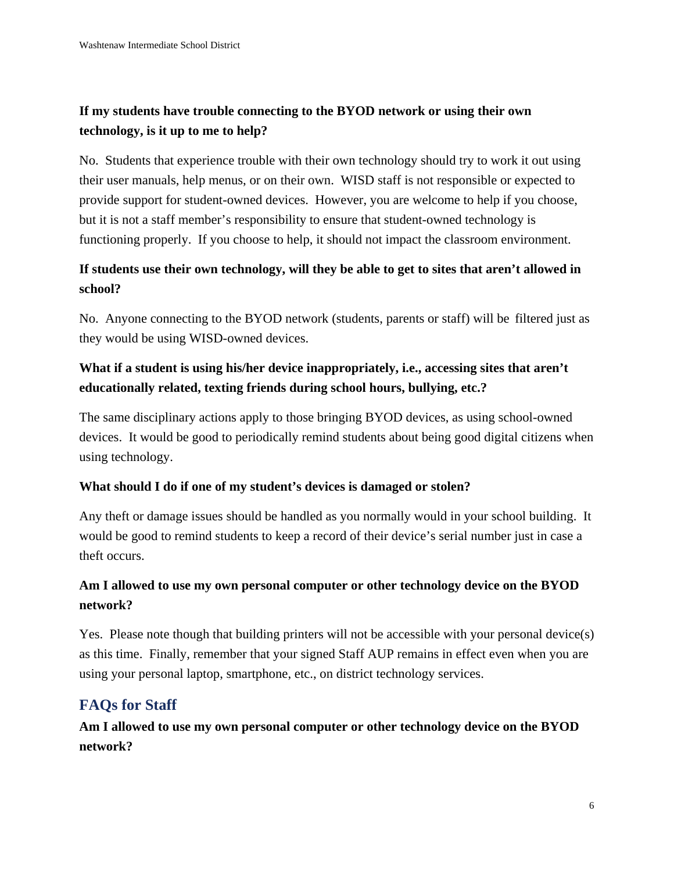# **If my students have trouble connecting to the BYOD network or using their own technology, is it up to me to help?**

No. Students that experience trouble with their own technology should try to work it out using their user manuals, help menus, or on their own. WISD staff is not responsible or expected to provide support for student-owned devices. However, you are welcome to help if you choose, but it is not a staff member's responsibility to ensure that student-owned technology is functioning properly. If you choose to help, it should not impact the classroom environment.

## **If students use their own technology, will they be able to get to sites that aren't allowed in school?**

No. Anyone connecting to the BYOD network (students, parents or staff) will be filtered just as they would be using WISD-owned devices.

# **What if a student is using his/her device inappropriately, i.e., accessing sites that aren't educationally related, texting friends during school hours, bullying, etc.?**

The same disciplinary actions apply to those bringing BYOD devices, as using school-owned devices. It would be good to periodically remind students about being good digital citizens when using technology.

#### **What should I do if one of my student's devices is damaged or stolen?**

Any theft or damage issues should be handled as you normally would in your school building. It would be good to remind students to keep a record of their device's serial number just in case a theft occurs.

## **Am I allowed to use my own personal computer or other technology device on the BYOD network?**

Yes. Please note though that building printers will not be accessible with your personal device(s) as this time. Finally, remember that your signed Staff AUP remains in effect even when you are using your personal laptop, smartphone, etc., on district technology services.

# **FAQs for Staff**

**Am I allowed to use my own personal computer or other technology device on the BYOD network?**